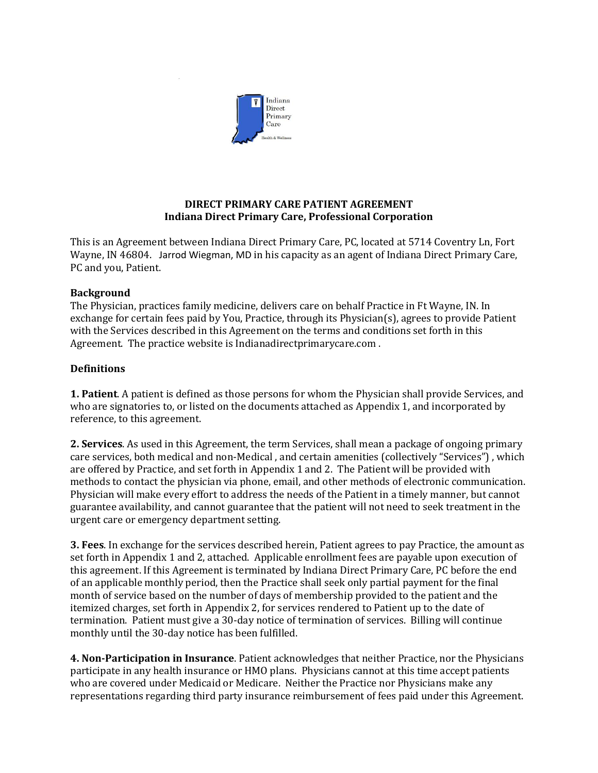

# **DIRECT PRIMARY CARE PATIENT AGREEMENT Indiana Direct Primary Care, Professional Corporation**

This is an Agreement between Indiana Direct Primary Care, PC, located at 5714 Coventry Ln, Fort Wayne, IN 46804. Jarrod Wiegman, MD in his capacity as an agent of Indiana Direct Primary Care, PC and you, Patient.

#### **Background**

The Physician, practices family medicine, delivers care on behalf Practice in Ft Wayne, IN. In exchange for certain fees paid by You, Practice, through its Physician(s), agrees to provide Patient with the Services described in this Agreement on the terms and conditions set forth in this Agreement. The practice website is Indianadirectprimarycare.com .

## **Definitions**

**1. Patient**. A patient is defined as those persons for whom the Physician shall provide Services, and who are signatories to, or listed on the documents attached as Appendix 1, and incorporated by reference, to this agreement.

**2. Services**. As used in this Agreement, the term Services, shall mean a package of ongoing primary care services, both medical and non-Medical , and certain amenities (collectively "Services") , which are offered by Practice, and set forth in Appendix 1 and 2. The Patient will be provided with methods to contact the physician via phone, email, and other methods of electronic communication. Physician will make every effort to address the needs of the Patient in a timely manner, but cannot guarantee availability, and cannot guarantee that the patient will not need to seek treatment in the urgent care or emergency department setting.

**3. Fees**. In exchange for the services described herein, Patient agrees to pay Practice, the amount as set forth in Appendix 1 and 2, attached. Applicable enrollment fees are payable upon execution of this agreement. If this Agreement is terminated by Indiana Direct Primary Care, PC before the end of an applicable monthly period, then the Practice shall seek only partial payment for the final month of service based on the number of days of membership provided to the patient and the itemized charges, set forth in Appendix 2, for services rendered to Patient up to the date of termination. Patient must give a 30-day notice of termination of services. Billing will continue monthly until the 30-day notice has been fulfilled.

**4. Non-Participation in Insurance**. Patient acknowledges that neither Practice, nor the Physicians participate in any health insurance or HMO plans. Physicians cannot at this time accept patients who are covered under Medicaid or Medicare. Neither the Practice nor Physicians make any representations regarding third party insurance reimbursement of fees paid under this Agreement.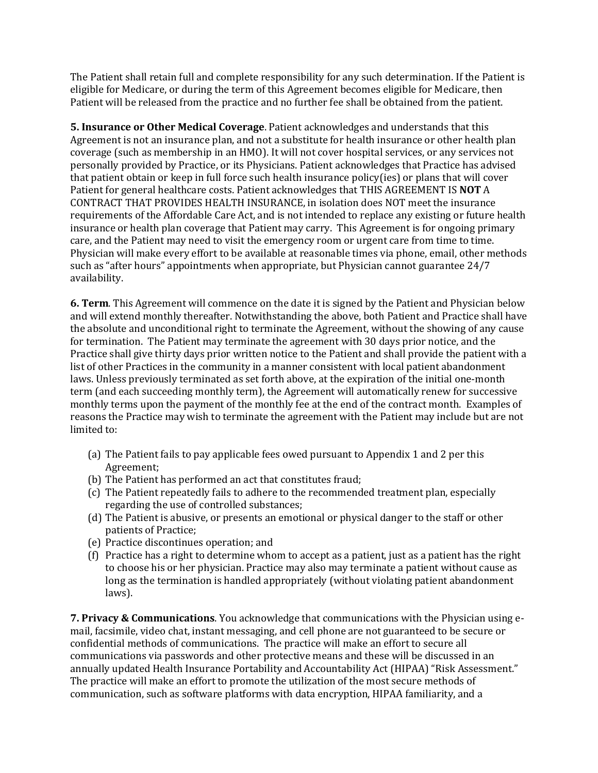The Patient shall retain full and complete responsibility for any such determination. If the Patient is eligible for Medicare, or during the term of this Agreement becomes eligible for Medicare, then Patient will be released from the practice and no further fee shall be obtained from the patient.

**5. Insurance or Other Medical Coverage**. Patient acknowledges and understands that this Agreement is not an insurance plan, and not a substitute for health insurance or other health plan coverage (such as membership in an HMO). It will not cover hospital services, or any services not personally provided by Practice, or its Physicians. Patient acknowledges that Practice has advised that patient obtain or keep in full force such health insurance policy(ies) or plans that will cover Patient for general healthcare costs. Patient acknowledges that THIS AGREEMENT IS **NOT** A CONTRACT THAT PROVIDES HEALTH INSURANCE, in isolation does NOT meet the insurance requirements of the Affordable Care Act, and is not intended to replace any existing or future health insurance or health plan coverage that Patient may carry. This Agreement is for ongoing primary care, and the Patient may need to visit the emergency room or urgent care from time to time. Physician will make every effort to be available at reasonable times via phone, email, other methods such as "after hours" appointments when appropriate, but Physician cannot guarantee 24/7 availability.

**6. Term**. This Agreement will commence on the date it is signed by the Patient and Physician below and will extend monthly thereafter. Notwithstanding the above, both Patient and Practice shall have the absolute and unconditional right to terminate the Agreement, without the showing of any cause for termination. The Patient may terminate the agreement with 30 days prior notice, and the Practice shall give thirty days prior written notice to the Patient and shall provide the patient with a list of other Practices in the community in a manner consistent with local patient abandonment laws. Unless previously terminated as set forth above, at the expiration of the initial one-month term (and each succeeding monthly term), the Agreement will automatically renew for successive monthly terms upon the payment of the monthly fee at the end of the contract month. Examples of reasons the Practice may wish to terminate the agreement with the Patient may include but are not limited to:

- (a) The Patient fails to pay applicable fees owed pursuant to Appendix 1 and 2 per this Agreement;
- (b) The Patient has performed an act that constitutes fraud;
- (c) The Patient repeatedly fails to adhere to the recommended treatment plan, especially regarding the use of controlled substances;
- (d) The Patient is abusive, or presents an emotional or physical danger to the staff or other patients of Practice;
- (e) Practice discontinues operation; and
- (f) Practice has a right to determine whom to accept as a patient, just as a patient has the right to choose his or her physician. Practice may also may terminate a patient without cause as long as the termination is handled appropriately (without violating patient abandonment laws).

**7. Privacy & Communications**. You acknowledge that communications with the Physician using email, facsimile, video chat, instant messaging, and cell phone are not guaranteed to be secure or confidential methods of communications. The practice will make an effort to secure all communications via passwords and other protective means and these will be discussed in an annually updated Health Insurance Portability and Accountability Act (HIPAA) "Risk Assessment." The practice will make an effort to promote the utilization of the most secure methods of communication, such as software platforms with data encryption, HIPAA familiarity, and a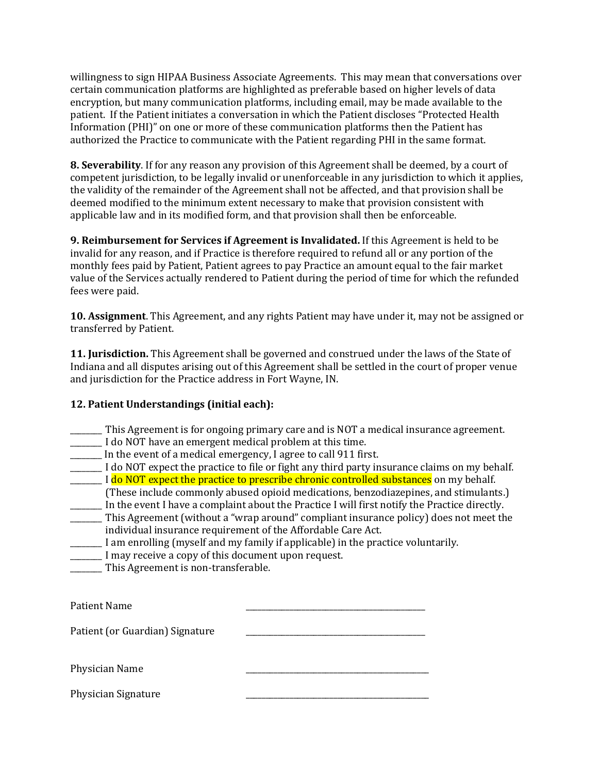willingness to sign HIPAA Business Associate Agreements. This may mean that conversations over certain communication platforms are highlighted as preferable based on higher levels of data encryption, but many communication platforms, including email, may be made available to the patient. If the Patient initiates a conversation in which the Patient discloses "Protected Health Information (PHI)" on one or more of these communication platforms then the Patient has authorized the Practice to communicate with the Patient regarding PHI in the same format.

**8. Severability**. If for any reason any provision of this Agreement shall be deemed, by a court of competent jurisdiction, to be legally invalid or unenforceable in any jurisdiction to which it applies, the validity of the remainder of the Agreement shall not be affected, and that provision shall be deemed modified to the minimum extent necessary to make that provision consistent with applicable law and in its modified form, and that provision shall then be enforceable.

**9. Reimbursement for Services if Agreement is Invalidated.** If this Agreement is held to be invalid for any reason, and if Practice is therefore required to refund all or any portion of the monthly fees paid by Patient, Patient agrees to pay Practice an amount equal to the fair market value of the Services actually rendered to Patient during the period of time for which the refunded fees were paid.

**10. Assignment**. This Agreement, and any rights Patient may have under it, may not be assigned or transferred by Patient.

**11. Jurisdiction.** This Agreement shall be governed and construed under the laws of the State of Indiana and all disputes arising out of this Agreement shall be settled in the court of proper venue and jurisdiction for the Practice address in Fort Wayne, IN.

## **12. Patient Understandings (initial each):**

- \_\_\_\_\_\_\_\_ This Agreement is for ongoing primary care and is NOT a medical insurance agreement.
- \_\_\_\_\_\_\_\_ I do NOT have an emergent medical problem at this time.
- \_\_\_\_\_\_\_\_ In the event of a medical emergency, I agree to call 911 first.
- \_\_\_\_\_\_\_\_ I do NOT expect the practice to file or fight any third party insurance claims on my behalf. I do NOT expect the practice to prescribe chronic controlled substances on my behalf.
- (These include commonly abused opioid medications, benzodiazepines, and stimulants.) \_\_\_\_\_\_\_\_ In the event I have a complaint about the Practice I will first notify the Practice directly.
- \_\_\_\_\_\_\_\_ This Agreement (without a "wrap around" compliant insurance policy) does not meet the individual insurance requirement of the Affordable Care Act.
- \_\_\_\_\_\_\_\_ I am enrolling (myself and my family if applicable) in the practice voluntarily.
- \_\_\_\_\_\_\_\_ I may receive a copy of this document upon request.
- \_\_\_\_\_\_\_\_ This Agreement is non-transferable.

Patient Name

Patient (or Guardian) Signature

Physician Name

Physician Signature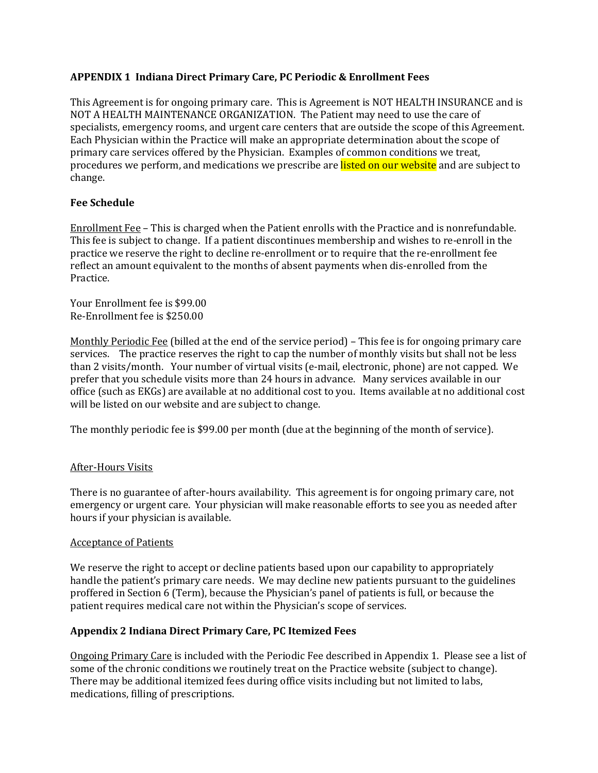# **APPENDIX 1 Indiana Direct Primary Care, PC Periodic & Enrollment Fees**

This Agreement is for ongoing primary care. This is Agreement is NOT HEALTH INSURANCE and is NOT A HEALTH MAINTENANCE ORGANIZATION. The Patient may need to use the care of specialists, emergency rooms, and urgent care centers that are outside the scope of this Agreement. Each Physician within the Practice will make an appropriate determination about the scope of primary care services offered by the Physician. Examples of common conditions we treat, procedures we perform, and medications we prescribe are listed on our website and are subject to change.

## **Fee Schedule**

Enrollment Fee – This is charged when the Patient enrolls with the Practice and is nonrefundable. This fee is subject to change. If a patient discontinues membership and wishes to re-enroll in the practice we reserve the right to decline re-enrollment or to require that the re-enrollment fee reflect an amount equivalent to the months of absent payments when dis-enrolled from the Practice.

Your Enrollment fee is \$99.00 Re-Enrollment fee is \$250.00

Monthly Periodic Fee (billed at the end of the service period) – This fee is for ongoing primary care services. The practice reserves the right to cap the number of monthly visits but shall not be less than 2 visits/month. Your number of virtual visits (e-mail, electronic, phone) are not capped. We prefer that you schedule visits more than 24 hours in advance. Many services available in our office (such as EKGs) are available at no additional cost to you. Items available at no additional cost will be listed on our website and are subject to change.

The monthly periodic fee is \$99.00 per month (due at the beginning of the month of service).

## After-Hours Visits

There is no guarantee of after-hours availability. This agreement is for ongoing primary care, not emergency or urgent care. Your physician will make reasonable efforts to see you as needed after hours if your physician is available.

## Acceptance of Patients

We reserve the right to accept or decline patients based upon our capability to appropriately handle the patient's primary care needs. We may decline new patients pursuant to the guidelines proffered in Section 6 (Term), because the Physician's panel of patients is full, or because the patient requires medical care not within the Physician's scope of services.

## **Appendix 2 Indiana Direct Primary Care, PC Itemized Fees**

Ongoing Primary Care is included with the Periodic Fee described in Appendix 1. Please see a list of some of the chronic conditions we routinely treat on the Practice website (subject to change). There may be additional itemized fees during office visits including but not limited to labs, medications, filling of prescriptions.